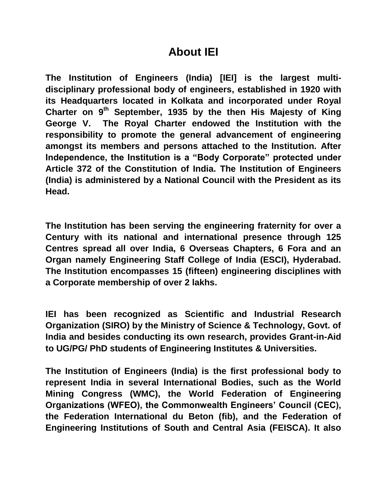## **About IEI**

**The Institution of Engineers (India) [IEI] is the largest multidisciplinary professional body of engineers, established in 1920 with its Headquarters located in Kolkata and incorporated under Royal Charter on 9th September, 1935 by the then His Majesty of King George V. The Royal Charter endowed the Institution with the responsibility to promote the general advancement of engineering amongst its members and persons attached to the Institution. After Independence, the Institution is a "Body Corporate" protected under Article 372 of the Constitution of India. The Institution of Engineers (India) is administered by a National Council with the President as its Head.**

**The Institution has been serving the engineering fraternity for over a Century with its national and international presence through 125 Centres spread all over India, 6 Overseas Chapters, 6 Fora and an Organ namely Engineering Staff College of India (ESCI), Hyderabad. The Institution encompasses 15 (fifteen) engineering disciplines with a Corporate membership of over 2 lakhs.**

**IEI has been recognized as Scientific and Industrial Research Organization (SIRO) by the Ministry of Science & Technology, Govt. of India and besides conducting its own research, provides Grant-in-Aid to UG/PG/ PhD students of Engineering Institutes & Universities.**

**The Institution of Engineers (India) is the first professional body to represent India in several International Bodies, such as the World Mining Congress (WMC), the World Federation of Engineering Organizations (WFEO), the Commonwealth Engineers' Council (CEC), the Federation International du Beton (fib), and the Federation of Engineering Institutions of South and Central Asia (FEISCA). It also**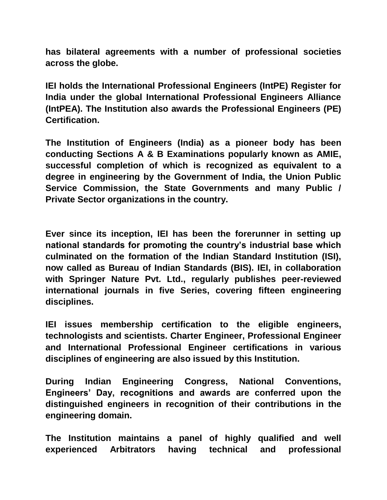**has bilateral agreements with a number of professional societies across the globe.**

**IEI holds the International Professional Engineers (IntPE) Register for India under the global International Professional Engineers Alliance (IntPEA). The Institution also awards the Professional Engineers (PE) Certification.**

**The Institution of Engineers (India) as a pioneer body has been conducting Sections A & B Examinations popularly known as AMIE, successful completion of which is recognized as equivalent to a degree in engineering by the Government of India, the Union Public Service Commission, the State Governments and many Public / Private Sector organizations in the country.** 

**Ever since its inception, IEI has been the forerunner in setting up national standards for promoting the country's industrial base which culminated on the formation of the Indian Standard Institution (ISI), now called as Bureau of Indian Standards (BIS). IEI, in collaboration with Springer Nature Pvt. Ltd., regularly publishes peer-reviewed international journals in five Series, covering fifteen engineering disciplines.**

**IEI issues membership certification to the eligible engineers, technologists and scientists. Charter Engineer, Professional Engineer and International Professional Engineer certifications in various disciplines of engineering are also issued by this Institution.**

**During Indian Engineering Congress, National Conventions, Engineers' Day, recognitions and awards are conferred upon the distinguished engineers in recognition of their contributions in the engineering domain.**

**The Institution maintains a panel of highly qualified and well experienced Arbitrators having technical and professional**